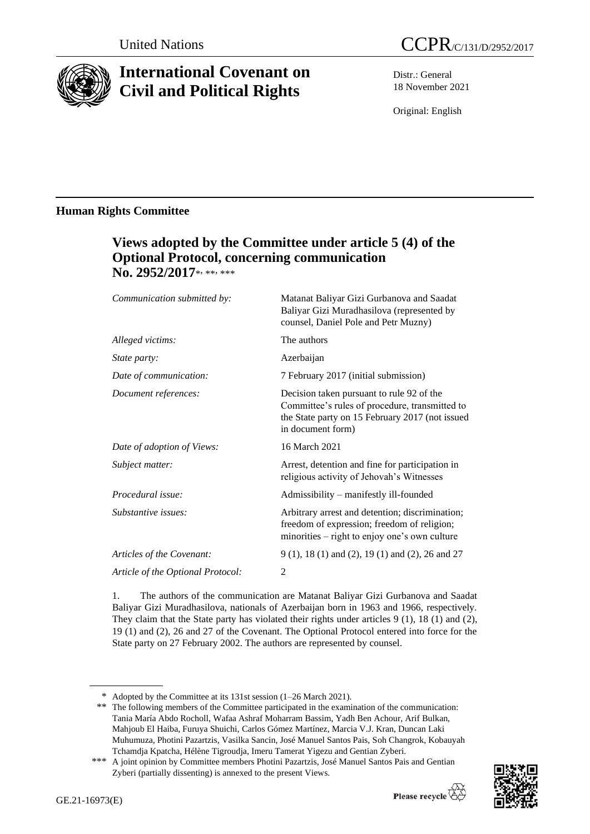

# **International Covenant on Civil and Political Rights**

Distr.: General 18 November 2021

Original: English

## **Human Rights Committee**

# **Views adopted by the Committee under article 5 (4) of the Optional Protocol, concerning communication**  No. 2952/2017\*<sub>\*\*\*\*</sub>

| Communication submitted by:       | Matanat Baliyar Gizi Gurbanova and Saadat<br>Baliyar Gizi Muradhasilova (represented by<br>counsel, Daniel Pole and Petr Muzny)                                     |
|-----------------------------------|---------------------------------------------------------------------------------------------------------------------------------------------------------------------|
| Alleged victims:                  | The authors                                                                                                                                                         |
| State party:                      | Azerbaijan                                                                                                                                                          |
| Date of communication:            | 7 February 2017 (initial submission)                                                                                                                                |
| Document references:              | Decision taken pursuant to rule 92 of the<br>Committee's rules of procedure, transmitted to<br>the State party on 15 February 2017 (not issued<br>in document form) |
| Date of adoption of Views:        | 16 March 2021                                                                                                                                                       |
| Subject matter:                   | Arrest, detention and fine for participation in<br>religious activity of Jehovah's Witnesses                                                                        |
| Procedural issue:                 | Admissibility - manifestly ill-founded                                                                                                                              |
| Substantive issues:               | Arbitrary arrest and detention; discrimination;<br>freedom of expression; freedom of religion;<br>minorities – right to enjoy one's own culture                     |
| Articles of the Covenant:         | 9 (1), 18 (1) and (2), 19 (1) and (2), 26 and 27                                                                                                                    |
| Article of the Optional Protocol: | $\overline{2}$                                                                                                                                                      |
|                                   |                                                                                                                                                                     |

1. The authors of the communication are Matanat Baliyar Gizi Gurbanova and Saadat Baliyar Gizi Muradhasilova, nationals of Azerbaijan born in 1963 and 1966, respectively. They claim that the State party has violated their rights under articles 9 (1), 18 (1) and (2), 19 (1) and (2), 26 and 27 of the Covenant. The Optional Protocol entered into force for the State party on 27 February 2002. The authors are represented by counsel.

\*\* The following members of the Committee participated in the examination of the communication: Tania María Abdo Rocholl, Wafaa Ashraf Moharram Bassim, Yadh Ben Achour, Arif Bulkan, Mahjoub El Haiba, Furuya Shuichi, Carlos Gómez Martínez, Marcia V.J. Kran, Duncan Laki Muhumuza, Photini Pazartzis, Vasilka Sancin, José Manuel Santos Pais, Soh Changrok, Kobauyah Tchamdja Kpatcha, Hélène Tigroudja, Imeru Tamerat Yigezu and Gentian Zyberi.

<sup>\*\*\*</sup> A joint opinion by Committee members Photini Pazartzis, José Manuel Santos Pais and Gentian Zyberi (partially dissenting) is annexed to the present Views.



<sup>\*</sup> Adopted by the Committee at its 131st session (1–26 March 2021).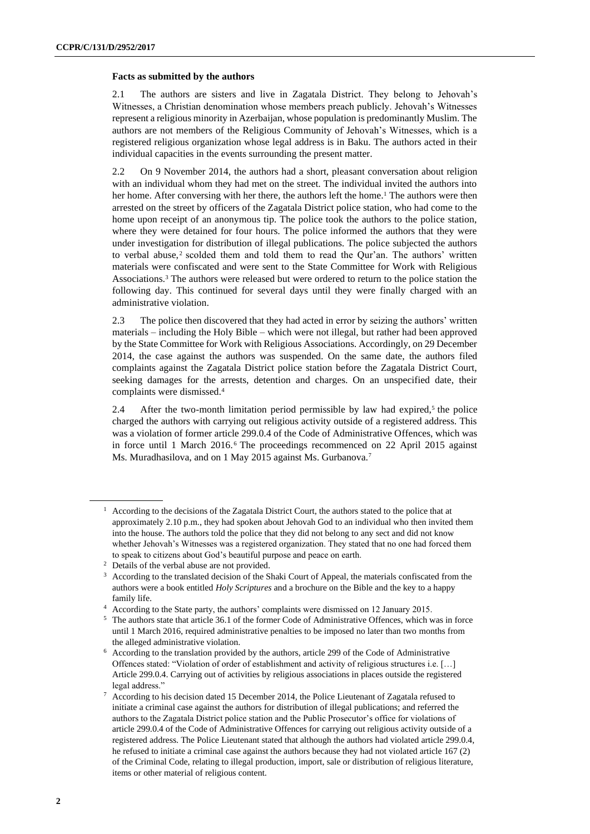#### **Facts as submitted by the authors**

2.1 The authors are sisters and live in Zagatala District. They belong to Jehovah's Witnesses, a Christian denomination whose members preach publicly. Jehovah's Witnesses represent a religious minority in Azerbaijan, whose population is predominantly Muslim. The authors are not members of the Religious Community of Jehovah's Witnesses, which is a registered religious organization whose legal address is in Baku. The authors acted in their individual capacities in the events surrounding the present matter.

2.2 On 9 November 2014, the authors had a short, pleasant conversation about religion with an individual whom they had met on the street. The individual invited the authors into her home. After conversing with her there, the authors left the home.<sup>1</sup> The authors were then arrested on the street by officers of the Zagatala District police station, who had come to the home upon receipt of an anonymous tip. The police took the authors to the police station, where they were detained for four hours. The police informed the authors that they were under investigation for distribution of illegal publications. The police subjected the authors to verbal abuse,<sup>2</sup> scolded them and told them to read the Qur'an. The authors' written materials were confiscated and were sent to the State Committee for Work with Religious Associations.<sup>3</sup> The authors were released but were ordered to return to the police station the following day. This continued for several days until they were finally charged with an administrative violation.

2.3 The police then discovered that they had acted in error by seizing the authors' written materials – including the Holy Bible – which were not illegal, but rather had been approved by the State Committee for Work with Religious Associations. Accordingly, on 29 December 2014, the case against the authors was suspended. On the same date, the authors filed complaints against the Zagatala District police station before the Zagatala District Court, seeking damages for the arrests, detention and charges. On an unspecified date, their complaints were dismissed.<sup>4</sup>

2.4 After the two-month limitation period permissible by law had expired,<sup>5</sup> the police charged the authors with carrying out religious activity outside of a registered address. This was a violation of former article 299.0.4 of the Code of Administrative Offences, which was in force until 1 March 2016. <sup>6</sup> The proceedings recommenced on 22 April 2015 against Ms. Muradhasilova, and on 1 May 2015 against Ms. Gurbanova.<sup>7</sup>

<sup>&</sup>lt;sup>1</sup> According to the decisions of the Zagatala District Court, the authors stated to the police that at approximately 2.10 p.m., they had spoken about Jehovah God to an individual who then invited them into the house. The authors told the police that they did not belong to any sect and did not know whether Jehovah's Witnesses was a registered organization. They stated that no one had forced them to speak to citizens about God's beautiful purpose and peace on earth.

<sup>2</sup> Details of the verbal abuse are not provided.

<sup>&</sup>lt;sup>3</sup> According to the translated decision of the Shaki Court of Appeal, the materials confiscated from the authors were a book entitled *Holy Scriptures* and a brochure on the Bible and the key to a happy family life.

<sup>4</sup> According to the State party, the authors' complaints were dismissed on 12 January 2015.

<sup>5</sup> The authors state that article 36.1 of the former Code of Administrative Offences, which was in force until 1 March 2016, required administrative penalties to be imposed no later than two months from the alleged administrative violation.

<sup>6</sup> According to the translation provided by the authors, article 299 of the Code of Administrative Offences stated: "Violation of order of establishment and activity of religious structures i.e. […] Article 299.0.4. Carrying out of activities by religious associations in places outside the registered legal address."

<sup>7</sup> According to his decision dated 15 December 2014, the Police Lieutenant of Zagatala refused to initiate a criminal case against the authors for distribution of illegal publications; and referred the authors to the Zagatala District police station and the Public Prosecutor's office for violations of article 299.0.4 of the Code of Administrative Offences for carrying out religious activity outside of a registered address. The Police Lieutenant stated that although the authors had violated article 299.0.4, he refused to initiate a criminal case against the authors because they had not violated article 167 (2) of the Criminal Code, relating to illegal production, import, sale or distribution of religious literature, items or other material of religious content.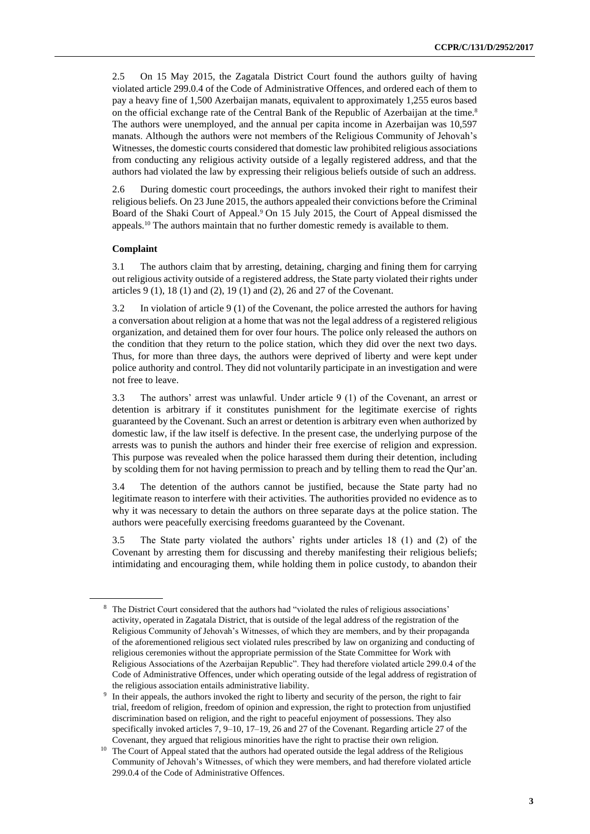2.5 On 15 May 2015, the Zagatala District Court found the authors guilty of having violated article 299.0.4 of the Code of Administrative Offences, and ordered each of them to pay a heavy fine of 1,500 Azerbaijan manats, equivalent to approximately 1,255 euros based on the official exchange rate of the Central Bank of the Republic of Azerbaijan at the time.<sup>8</sup> The authors were unemployed, and the annual per capita income in Azerbaijan was 10,597 manats. Although the authors were not members of the Religious Community of Jehovah's Witnesses, the domestic courts considered that domestic law prohibited religious associations from conducting any religious activity outside of a legally registered address, and that the authors had violated the law by expressing their religious beliefs outside of such an address.

2.6 During domestic court proceedings, the authors invoked their right to manifest their religious beliefs. On 23 June 2015, the authors appealed their convictions before the Criminal Board of the Shaki Court of Appeal.<sup>9</sup> On 15 July 2015, the Court of Appeal dismissed the appeals.<sup>10</sup> The authors maintain that no further domestic remedy is available to them.

#### **Complaint**

3.1 The authors claim that by arresting, detaining, charging and fining them for carrying out religious activity outside of a registered address, the State party violated their rights under articles 9 (1), 18 (1) and (2), 19 (1) and (2), 26 and 27 of the Covenant.

3.2 In violation of article 9 (1) of the Covenant, the police arrested the authors for having a conversation about religion at a home that was not the legal address of a registered religious organization, and detained them for over four hours. The police only released the authors on the condition that they return to the police station, which they did over the next two days. Thus, for more than three days, the authors were deprived of liberty and were kept under police authority and control. They did not voluntarily participate in an investigation and were not free to leave.

3.3 The authors' arrest was unlawful. Under article 9 (1) of the Covenant, an arrest or detention is arbitrary if it constitutes punishment for the legitimate exercise of rights guaranteed by the Covenant. Such an arrest or detention is arbitrary even when authorized by domestic law, if the law itself is defective. In the present case, the underlying purpose of the arrests was to punish the authors and hinder their free exercise of religion and expression. This purpose was revealed when the police harassed them during their detention, including by scolding them for not having permission to preach and by telling them to read the Qur'an.

3.4 The detention of the authors cannot be justified, because the State party had no legitimate reason to interfere with their activities. The authorities provided no evidence as to why it was necessary to detain the authors on three separate days at the police station. The authors were peacefully exercising freedoms guaranteed by the Covenant.

3.5 The State party violated the authors' rights under articles 18 (1) and (2) of the Covenant by arresting them for discussing and thereby manifesting their religious beliefs; intimidating and encouraging them, while holding them in police custody, to abandon their

<sup>&</sup>lt;sup>8</sup> The District Court considered that the authors had "violated the rules of religious associations" activity, operated in Zagatala District, that is outside of the legal address of the registration of the Religious Community of Jehovah's Witnesses, of which they are members, and by their propaganda of the aforementioned religious sect violated rules prescribed by law on organizing and conducting of religious ceremonies without the appropriate permission of the State Committee for Work with Religious Associations of the Azerbaijan Republic". They had therefore violated article 299.0.4 of the Code of Administrative Offences, under which operating outside of the legal address of registration of the religious association entails administrative liability.

<sup>&</sup>lt;sup>9</sup> In their appeals, the authors invoked the right to liberty and security of the person, the right to fair trial, freedom of religion, freedom of opinion and expression, the right to protection from unjustified discrimination based on religion, and the right to peaceful enjoyment of possessions. They also specifically invoked articles 7, 9–10, 17–19, 26 and 27 of the Covenant. Regarding article 27 of the Covenant, they argued that religious minorities have the right to practise their own religion.

<sup>&</sup>lt;sup>10</sup> The Court of Appeal stated that the authors had operated outside the legal address of the Religious Community of Jehovah's Witnesses, of which they were members, and had therefore violated article 299.0.4 of the Code of Administrative Offences.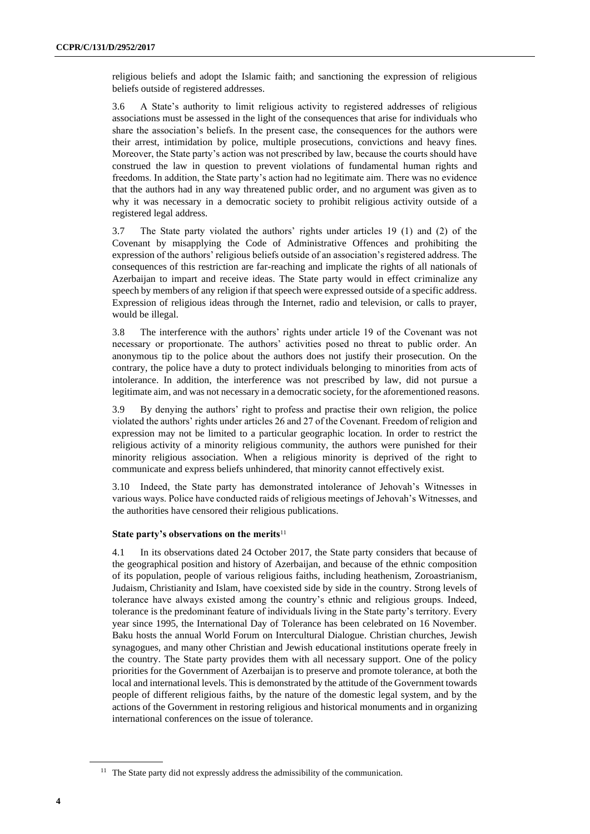religious beliefs and adopt the Islamic faith; and sanctioning the expression of religious beliefs outside of registered addresses.

3.6 A State's authority to limit religious activity to registered addresses of religious associations must be assessed in the light of the consequences that arise for individuals who share the association's beliefs. In the present case, the consequences for the authors were their arrest, intimidation by police, multiple prosecutions, convictions and heavy fines. Moreover, the State party's action was not prescribed by law, because the courts should have construed the law in question to prevent violations of fundamental human rights and freedoms. In addition, the State party's action had no legitimate aim. There was no evidence that the authors had in any way threatened public order, and no argument was given as to why it was necessary in a democratic society to prohibit religious activity outside of a registered legal address.

3.7 The State party violated the authors' rights under articles 19 (1) and (2) of the Covenant by misapplying the Code of Administrative Offences and prohibiting the expression of the authors' religious beliefs outside of an association's registered address. The consequences of this restriction are far-reaching and implicate the rights of all nationals of Azerbaijan to impart and receive ideas. The State party would in effect criminalize any speech by members of any religion if that speech were expressed outside of a specific address. Expression of religious ideas through the Internet, radio and television, or calls to prayer, would be illegal.

3.8 The interference with the authors' rights under article 19 of the Covenant was not necessary or proportionate. The authors' activities posed no threat to public order. An anonymous tip to the police about the authors does not justify their prosecution. On the contrary, the police have a duty to protect individuals belonging to minorities from acts of intolerance. In addition, the interference was not prescribed by law, did not pursue a legitimate aim, and was not necessary in a democratic society, for the aforementioned reasons.

3.9 By denying the authors' right to profess and practise their own religion, the police violated the authors' rights under articles 26 and 27 of the Covenant. Freedom of religion and expression may not be limited to a particular geographic location. In order to restrict the religious activity of a minority religious community, the authors were punished for their minority religious association. When a religious minority is deprived of the right to communicate and express beliefs unhindered, that minority cannot effectively exist.

3.10 Indeed, the State party has demonstrated intolerance of Jehovah's Witnesses in various ways. Police have conducted raids of religious meetings of Jehovah's Witnesses, and the authorities have censored their religious publications.

#### **State party's observations on the merits**<sup>11</sup>

4.1 In its observations dated 24 October 2017, the State party considers that because of the geographical position and history of Azerbaijan, and because of the ethnic composition of its population, people of various religious faiths, including heathenism, Zoroastrianism, Judaism, Christianity and Islam, have coexisted side by side in the country. Strong levels of tolerance have always existed among the country's ethnic and religious groups. Indeed, tolerance is the predominant feature of individuals living in the State party's territory. Every year since 1995, the International Day of Tolerance has been celebrated on 16 November. Baku hosts the annual World Forum on Intercultural Dialogue. Christian churches, Jewish synagogues, and many other Christian and Jewish educational institutions operate freely in the country. The State party provides them with all necessary support. One of the policy priorities for the Government of Azerbaijan is to preserve and promote tolerance, at both the local and international levels. This is demonstrated by the attitude of the Government towards people of different religious faiths, by the nature of the domestic legal system, and by the actions of the Government in restoring religious and historical monuments and in organizing international conferences on the issue of tolerance.

<sup>&</sup>lt;sup>11</sup> The State party did not expressly address the admissibility of the communication.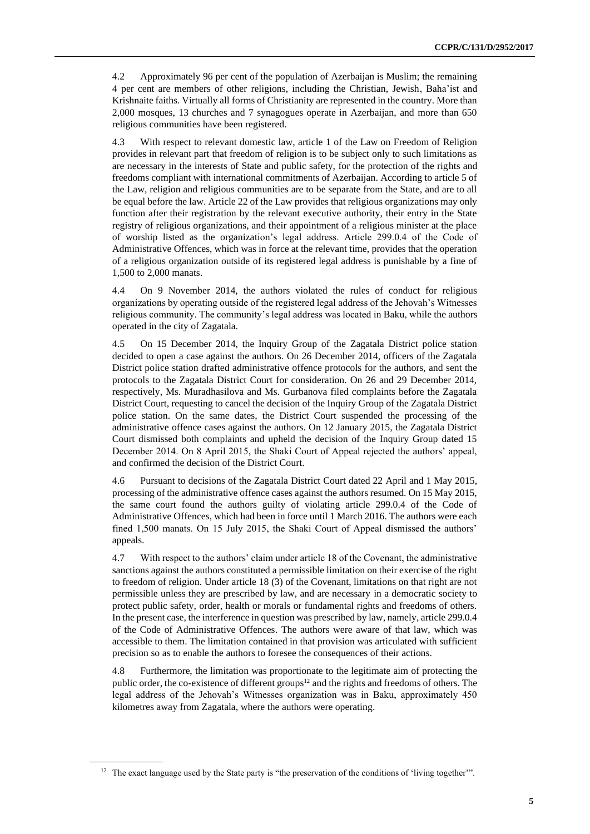4.2 Approximately 96 per cent of the population of Azerbaijan is Muslim; the remaining 4 per cent are members of other religions, including the Christian, Jewish, Baha'ist and Krishnaite faiths. Virtually all forms of Christianity are represented in the country. More than 2,000 mosques, 13 churches and 7 synagogues operate in Azerbaijan, and more than 650 religious communities have been registered.

4.3 With respect to relevant domestic law, article 1 of the Law on Freedom of Religion provides in relevant part that freedom of religion is to be subject only to such limitations as are necessary in the interests of State and public safety, for the protection of the rights and freedoms compliant with international commitments of Azerbaijan. According to article 5 of the Law, religion and religious communities are to be separate from the State, and are to all be equal before the law. Article 22 of the Law provides that religious organizations may only function after their registration by the relevant executive authority, their entry in the State registry of religious organizations, and their appointment of a religious minister at the place of worship listed as the organization's legal address. Article 299.0.4 of the Code of Administrative Offences, which was in force at the relevant time, provides that the operation of a religious organization outside of its registered legal address is punishable by a fine of 1,500 to 2,000 manats.

4.4 On 9 November 2014, the authors violated the rules of conduct for religious organizations by operating outside of the registered legal address of the Jehovah's Witnesses religious community. The community's legal address was located in Baku, while the authors operated in the city of Zagatala.

4.5 On 15 December 2014, the Inquiry Group of the Zagatala District police station decided to open a case against the authors. On 26 December 2014, officers of the Zagatala District police station drafted administrative offence protocols for the authors, and sent the protocols to the Zagatala District Court for consideration. On 26 and 29 December 2014, respectively, Ms. Muradhasilova and Ms. Gurbanova filed complaints before the Zagatala District Court, requesting to cancel the decision of the Inquiry Group of the Zagatala District police station. On the same dates, the District Court suspended the processing of the administrative offence cases against the authors. On 12 January 2015, the Zagatala District Court dismissed both complaints and upheld the decision of the Inquiry Group dated 15 December 2014. On 8 April 2015, the Shaki Court of Appeal rejected the authors' appeal, and confirmed the decision of the District Court.

4.6 Pursuant to decisions of the Zagatala District Court dated 22 April and 1 May 2015, processing of the administrative offence cases against the authors resumed. On 15 May 2015, the same court found the authors guilty of violating article 299.0.4 of the Code of Administrative Offences, which had been in force until 1 March 2016. The authors were each fined 1,500 manats. On 15 July 2015, the Shaki Court of Appeal dismissed the authors' appeals.

4.7 With respect to the authors' claim under article 18 of the Covenant, the administrative sanctions against the authors constituted a permissible limitation on their exercise of the right to freedom of religion. Under article 18 (3) of the Covenant, limitations on that right are not permissible unless they are prescribed by law, and are necessary in a democratic society to protect public safety, order, health or morals or fundamental rights and freedoms of others. In the present case, the interference in question was prescribed by law, namely, article 299.0.4 of the Code of Administrative Offences. The authors were aware of that law, which was accessible to them. The limitation contained in that provision was articulated with sufficient precision so as to enable the authors to foresee the consequences of their actions.

4.8 Furthermore, the limitation was proportionate to the legitimate aim of protecting the public order, the co-existence of different groups<sup>12</sup> and the rights and freedoms of others. The legal address of the Jehovah's Witnesses organization was in Baku, approximately 450 kilometres away from Zagatala, where the authors were operating.

<sup>&</sup>lt;sup>12</sup> The exact language used by the State party is "the preservation of the conditions of 'living together'".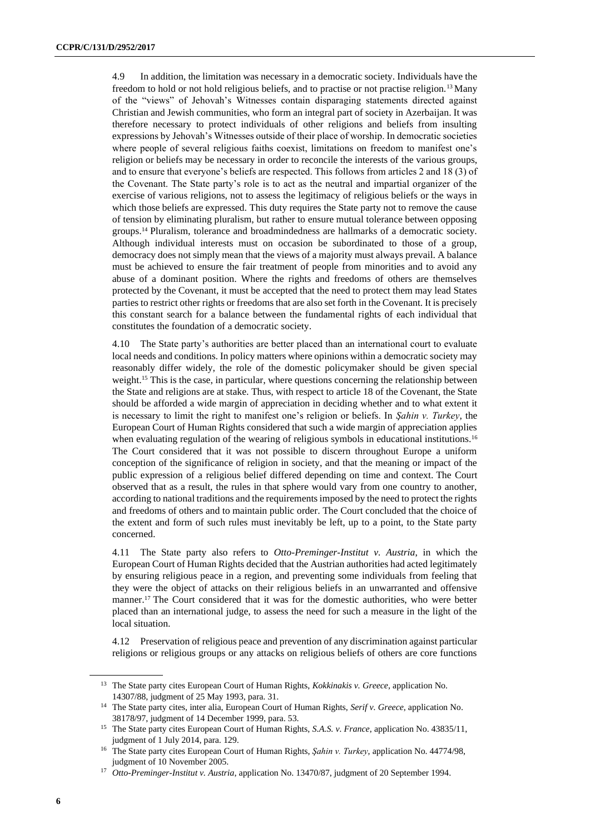4.9 In addition, the limitation was necessary in a democratic society. Individuals have the freedom to hold or not hold religious beliefs, and to practise or not practise religion.<sup>13</sup> Many of the "views" of Jehovah's Witnesses contain disparaging statements directed against Christian and Jewish communities, who form an integral part of society in Azerbaijan. It was therefore necessary to protect individuals of other religions and beliefs from insulting expressions by Jehovah's Witnesses outside of their place of worship. In democratic societies where people of several religious faiths coexist, limitations on freedom to manifest one's religion or beliefs may be necessary in order to reconcile the interests of the various groups, and to ensure that everyone's beliefs are respected. This follows from articles 2 and 18 (3) of the Covenant. The State party's role is to act as the neutral and impartial organizer of the exercise of various religions, not to assess the legitimacy of religious beliefs or the ways in which those beliefs are expressed. This duty requires the State party not to remove the cause of tension by eliminating pluralism, but rather to ensure mutual tolerance between opposing groups.<sup>14</sup> Pluralism, tolerance and broadmindedness are hallmarks of a democratic society. Although individual interests must on occasion be subordinated to those of a group, democracy does not simply mean that the views of a majority must always prevail. A balance must be achieved to ensure the fair treatment of people from minorities and to avoid any abuse of a dominant position. Where the rights and freedoms of others are themselves protected by the Covenant, it must be accepted that the need to protect them may lead States parties to restrict other rights or freedoms that are also set forth in the Covenant. It is precisely this constant search for a balance between the fundamental rights of each individual that constitutes the foundation of a democratic society.

4.10 The State party's authorities are better placed than an international court to evaluate local needs and conditions. In policy matters where opinions within a democratic society may reasonably differ widely, the role of the domestic policymaker should be given special weight.<sup>15</sup> This is the case, in particular, where questions concerning the relationship between the State and religions are at stake. Thus, with respect to article 18 of the Covenant, the State should be afforded a wide margin of appreciation in deciding whether and to what extent it is necessary to limit the right to manifest one's religion or beliefs. In *Şahin v. Turkey*, the European Court of Human Rights considered that such a wide margin of appreciation applies when evaluating regulation of the wearing of religious symbols in educational institutions.<sup>16</sup> The Court considered that it was not possible to discern throughout Europe a uniform conception of the significance of religion in society, and that the meaning or impact of the public expression of a religious belief differed depending on time and context. The Court observed that as a result, the rules in that sphere would vary from one country to another, according to national traditions and the requirements imposed by the need to protect the rights and freedoms of others and to maintain public order. The Court concluded that the choice of the extent and form of such rules must inevitably be left, up to a point, to the State party concerned.

4.11 The State party also refers to *Otto-Preminger-Institut v. Austria*, in which the European Court of Human Rights decided that the Austrian authorities had acted legitimately by ensuring religious peace in a region, and preventing some individuals from feeling that they were the object of attacks on their religious beliefs in an unwarranted and offensive manner.<sup>17</sup> The Court considered that it was for the domestic authorities, who were better placed than an international judge, to assess the need for such a measure in the light of the local situation.

4.12 Preservation of religious peace and prevention of any discrimination against particular religions or religious groups or any attacks on religious beliefs of others are core functions

<sup>13</sup> The State party cites European Court of Human Rights, *Kokkinakis v. Greece*, application No. 14307/88, judgment of 25 May 1993, para. 31.

<sup>14</sup> The State party cites, inter alia, European Court of Human Rights, *Serif v. Greece*, application No. 38178/97, judgment of 14 December 1999, para. 53.

<sup>15</sup> The State party cites European Court of Human Rights, *S.A.S. v. France*, application No. 43835/11, judgment of 1 July 2014, para. 129.

<sup>16</sup> The State party cites European Court of Human Rights, *Şahin v. Turkey*, application No. 44774/98, judgment of 10 November 2005.

<sup>17</sup> *Otto-Preminger-Institut v. Austria*, application No. 13470/87, judgment of 20 September 1994.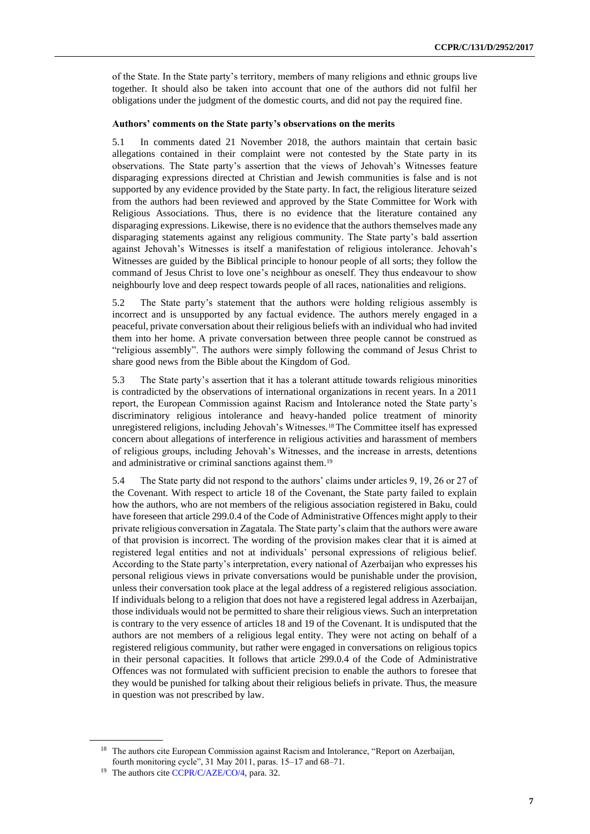of the State. In the State party's territory, members of many religions and ethnic groups live together. It should also be taken into account that one of the authors did not fulfil her obligations under the judgment of the domestic courts, and did not pay the required fine.

#### **Authors' comments on the State party's observations on the merits**

5.1 In comments dated 21 November 2018, the authors maintain that certain basic allegations contained in their complaint were not contested by the State party in its observations. The State party's assertion that the views of Jehovah's Witnesses feature disparaging expressions directed at Christian and Jewish communities is false and is not supported by any evidence provided by the State party. In fact, the religious literature seized from the authors had been reviewed and approved by the State Committee for Work with Religious Associations. Thus, there is no evidence that the literature contained any disparaging expressions. Likewise, there is no evidence that the authors themselves made any disparaging statements against any religious community. The State party's bald assertion against Jehovah's Witnesses is itself a manifestation of religious intolerance. Jehovah's Witnesses are guided by the Biblical principle to honour people of all sorts; they follow the command of Jesus Christ to love one's neighbour as oneself. They thus endeavour to show neighbourly love and deep respect towards people of all races, nationalities and religions.

5.2 The State party's statement that the authors were holding religious assembly is incorrect and is unsupported by any factual evidence. The authors merely engaged in a peaceful, private conversation about their religious beliefs with an individual who had invited them into her home. A private conversation between three people cannot be construed as "religious assembly". The authors were simply following the command of Jesus Christ to share good news from the Bible about the Kingdom of God.

5.3 The State party's assertion that it has a tolerant attitude towards religious minorities is contradicted by the observations of international organizations in recent years. In a 2011 report, the European Commission against Racism and Intolerance noted the State party's discriminatory religious intolerance and heavy-handed police treatment of minority unregistered religions, including Jehovah's Witnesses.<sup>18</sup> The Committee itself has expressed concern about allegations of interference in religious activities and harassment of members of religious groups, including Jehovah's Witnesses, and the increase in arrests, detentions and administrative or criminal sanctions against them.<sup>19</sup>

5.4 The State party did not respond to the authors' claims under articles 9, 19, 26 or 27 of the Covenant. With respect to article 18 of the Covenant, the State party failed to explain how the authors, who are not members of the religious association registered in Baku, could have foreseen that article 299.0.4 of the Code of Administrative Offences might apply to their private religious conversation in Zagatala. The State party's claim that the authors were aware of that provision is incorrect. The wording of the provision makes clear that it is aimed at registered legal entities and not at individuals' personal expressions of religious belief. According to the State party's interpretation, every national of Azerbaijan who expresses his personal religious views in private conversations would be punishable under the provision, unless their conversation took place at the legal address of a registered religious association. If individuals belong to a religion that does not have a registered legal address in Azerbaijan, those individuals would not be permitted to share their religious views. Such an interpretation is contrary to the very essence of articles 18 and 19 of the Covenant. It is undisputed that the authors are not members of a religious legal entity. They were not acting on behalf of a registered religious community, but rather were engaged in conversations on religious topics in their personal capacities. It follows that article 299.0.4 of the Code of Administrative Offences was not formulated with sufficient precision to enable the authors to foresee that they would be punished for talking about their religious beliefs in private. Thus, the measure in question was not prescribed by law.

<sup>&</sup>lt;sup>18</sup> The authors cite European Commission against Racism and Intolerance, "Report on Azerbaijan, fourth monitoring cycle", 31 May 2011, paras. 15–17 and 68–71.

<sup>&</sup>lt;sup>19</sup> The authors cit[e CCPR/C/AZE/CO/4,](http://undocs.org/en/CCPR/C/AZE/CO/4) para. 32.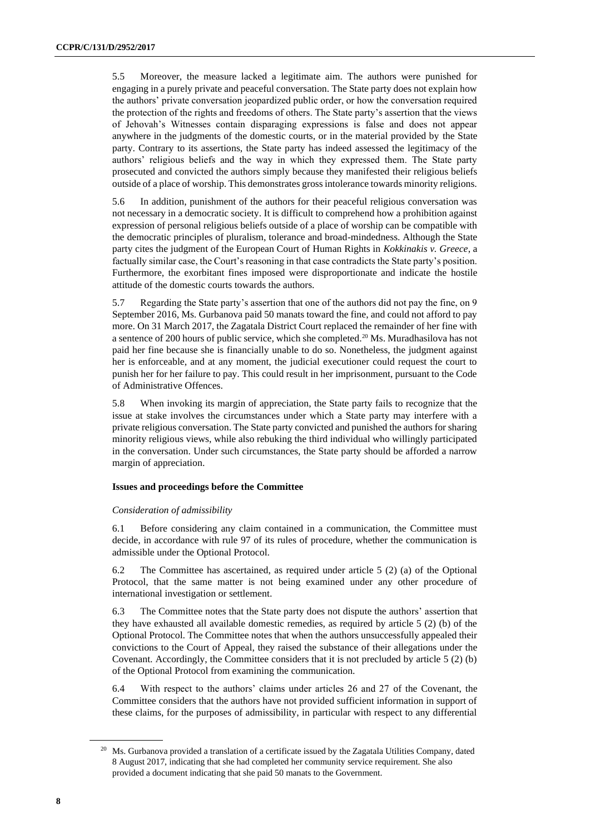5.5 Moreover, the measure lacked a legitimate aim. The authors were punished for engaging in a purely private and peaceful conversation. The State party does not explain how the authors' private conversation jeopardized public order, or how the conversation required the protection of the rights and freedoms of others. The State party's assertion that the views of Jehovah's Witnesses contain disparaging expressions is false and does not appear anywhere in the judgments of the domestic courts, or in the material provided by the State party. Contrary to its assertions, the State party has indeed assessed the legitimacy of the authors' religious beliefs and the way in which they expressed them. The State party prosecuted and convicted the authors simply because they manifested their religious beliefs outside of a place of worship. This demonstrates gross intolerance towards minority religions.

5.6 In addition, punishment of the authors for their peaceful religious conversation was not necessary in a democratic society. It is difficult to comprehend how a prohibition against expression of personal religious beliefs outside of a place of worship can be compatible with the democratic principles of pluralism, tolerance and broad-mindedness. Although the State party cites the judgment of the European Court of Human Rights in *Kokkinakis v. Greece*, a factually similar case, the Court's reasoning in that case contradicts the State party's position. Furthermore, the exorbitant fines imposed were disproportionate and indicate the hostile attitude of the domestic courts towards the authors.

5.7 Regarding the State party's assertion that one of the authors did not pay the fine, on 9 September 2016, Ms. Gurbanova paid 50 manats toward the fine, and could not afford to pay more. On 31 March 2017, the Zagatala District Court replaced the remainder of her fine with a sentence of 200 hours of public service, which she completed.<sup>20</sup> Ms. Muradhasilova has not paid her fine because she is financially unable to do so. Nonetheless, the judgment against her is enforceable, and at any moment, the judicial executioner could request the court to punish her for her failure to pay. This could result in her imprisonment, pursuant to the Code of Administrative Offences.

5.8 When invoking its margin of appreciation, the State party fails to recognize that the issue at stake involves the circumstances under which a State party may interfere with a private religious conversation. The State party convicted and punished the authors for sharing minority religious views, while also rebuking the third individual who willingly participated in the conversation. Under such circumstances, the State party should be afforded a narrow margin of appreciation.

### **Issues and proceedings before the Committee**

#### *Consideration of admissibility*

6.1 Before considering any claim contained in a communication, the Committee must decide, in accordance with rule 97 of its rules of procedure, whether the communication is admissible under the Optional Protocol.

6.2 The Committee has ascertained, as required under article 5 (2) (a) of the Optional Protocol, that the same matter is not being examined under any other procedure of international investigation or settlement.

6.3 The Committee notes that the State party does not dispute the authors' assertion that they have exhausted all available domestic remedies, as required by article 5 (2) (b) of the Optional Protocol. The Committee notes that when the authors unsuccessfully appealed their convictions to the Court of Appeal, they raised the substance of their allegations under the Covenant. Accordingly, the Committee considers that it is not precluded by article 5 (2) (b) of the Optional Protocol from examining the communication.

6.4 With respect to the authors' claims under articles 26 and 27 of the Covenant, the Committee considers that the authors have not provided sufficient information in support of these claims, for the purposes of admissibility, in particular with respect to any differential

<sup>&</sup>lt;sup>20</sup> Ms. Gurbanova provided a translation of a certificate issued by the Zagatala Utilities Company, dated 8 August 2017, indicating that she had completed her community service requirement. She also provided a document indicating that she paid 50 manats to the Government.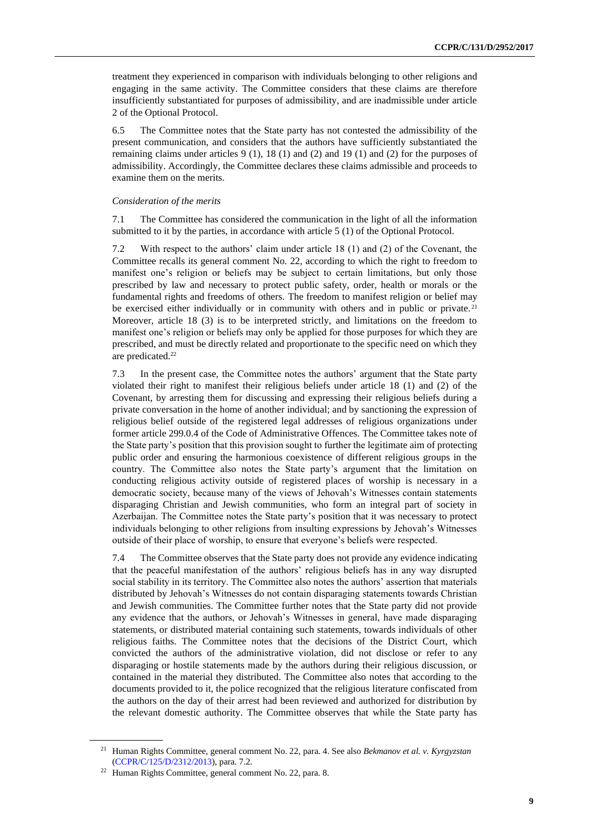treatment they experienced in comparison with individuals belonging to other religions and engaging in the same activity. The Committee considers that these claims are therefore insufficiently substantiated for purposes of admissibility, and are inadmissible under article 2 of the Optional Protocol.

6.5 The Committee notes that the State party has not contested the admissibility of the present communication, and considers that the authors have sufficiently substantiated the remaining claims under articles 9 (1), 18 (1) and (2) and 19 (1) and (2) for the purposes of admissibility. Accordingly, the Committee declares these claims admissible and proceeds to examine them on the merits.

#### *Consideration of the merits*

7.1 The Committee has considered the communication in the light of all the information submitted to it by the parties, in accordance with article 5 (1) of the Optional Protocol.

7.2 With respect to the authors' claim under article 18 (1) and (2) of the Covenant, the Committee recalls its general comment No. 22, according to which the right to freedom to manifest one's religion or beliefs may be subject to certain limitations, but only those prescribed by law and necessary to protect public safety, order, health or morals or the fundamental rights and freedoms of others. The freedom to manifest religion or belief may be exercised either individually or in community with others and in public or private.<sup>21</sup> Moreover, article 18 (3) is to be interpreted strictly, and limitations on the freedom to manifest one's religion or beliefs may only be applied for those purposes for which they are prescribed, and must be directly related and proportionate to the specific need on which they are predicated.<sup>22</sup>

7.3 In the present case, the Committee notes the authors' argument that the State party violated their right to manifest their religious beliefs under article 18 (1) and (2) of the Covenant, by arresting them for discussing and expressing their religious beliefs during a private conversation in the home of another individual; and by sanctioning the expression of religious belief outside of the registered legal addresses of religious organizations under former article 299.0.4 of the Code of Administrative Offences. The Committee takes note of the State party's position that this provision sought to further the legitimate aim of protecting public order and ensuring the harmonious coexistence of different religious groups in the country. The Committee also notes the State party's argument that the limitation on conducting religious activity outside of registered places of worship is necessary in a democratic society, because many of the views of Jehovah's Witnesses contain statements disparaging Christian and Jewish communities, who form an integral part of society in Azerbaijan. The Committee notes the State party's position that it was necessary to protect individuals belonging to other religions from insulting expressions by Jehovah's Witnesses outside of their place of worship, to ensure that everyone's beliefs were respected.

7.4 The Committee observes that the State party does not provide any evidence indicating that the peaceful manifestation of the authors' religious beliefs has in any way disrupted social stability in its territory. The Committee also notes the authors' assertion that materials distributed by Jehovah's Witnesses do not contain disparaging statements towards Christian and Jewish communities. The Committee further notes that the State party did not provide any evidence that the authors, or Jehovah's Witnesses in general, have made disparaging statements, or distributed material containing such statements, towards individuals of other religious faiths. The Committee notes that the decisions of the District Court, which convicted the authors of the administrative violation, did not disclose or refer to any disparaging or hostile statements made by the authors during their religious discussion, or contained in the material they distributed. The Committee also notes that according to the documents provided to it, the police recognized that the religious literature confiscated from the authors on the day of their arrest had been reviewed and authorized for distribution by the relevant domestic authority. The Committee observes that while the State party has

<sup>21</sup> Human Rights Committee, general comment No. 22, para. 4. See also *Bekmanov et al. v. Kyrgyzstan* [\(CCPR/C/125/D/2312/2013\)](http://undocs.org/en/CCPR/C/125/D/2312/2013), para. 7.2.

<sup>22</sup> Human Rights Committee, general comment No. 22, para. 8.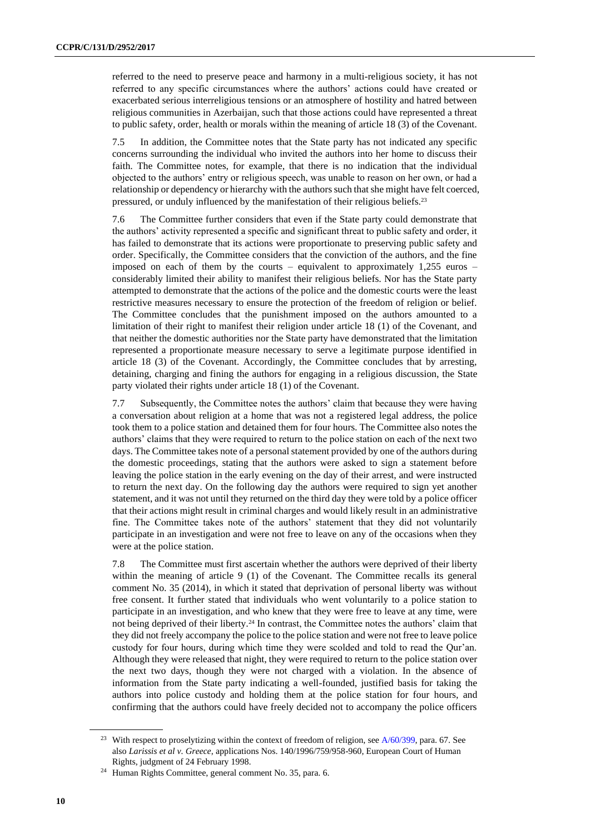referred to the need to preserve peace and harmony in a multi-religious society, it has not referred to any specific circumstances where the authors' actions could have created or exacerbated serious interreligious tensions or an atmosphere of hostility and hatred between religious communities in Azerbaijan, such that those actions could have represented a threat to public safety, order, health or morals within the meaning of article 18 (3) of the Covenant.

7.5 In addition, the Committee notes that the State party has not indicated any specific concerns surrounding the individual who invited the authors into her home to discuss their faith. The Committee notes, for example, that there is no indication that the individual objected to the authors' entry or religious speech, was unable to reason on her own, or had a relationship or dependency or hierarchy with the authors such that she might have felt coerced, pressured, or unduly influenced by the manifestation of their religious beliefs.<sup>23</sup>

7.6 The Committee further considers that even if the State party could demonstrate that the authors' activity represented a specific and significant threat to public safety and order, it has failed to demonstrate that its actions were proportionate to preserving public safety and order. Specifically, the Committee considers that the conviction of the authors, and the fine imposed on each of them by the courts – equivalent to approximately 1,255 euros – considerably limited their ability to manifest their religious beliefs. Nor has the State party attempted to demonstrate that the actions of the police and the domestic courts were the least restrictive measures necessary to ensure the protection of the freedom of religion or belief. The Committee concludes that the punishment imposed on the authors amounted to a limitation of their right to manifest their religion under article 18 (1) of the Covenant, and that neither the domestic authorities nor the State party have demonstrated that the limitation represented a proportionate measure necessary to serve a legitimate purpose identified in article 18 (3) of the Covenant. Accordingly, the Committee concludes that by arresting, detaining, charging and fining the authors for engaging in a religious discussion, the State party violated their rights under article 18 (1) of the Covenant.

7.7 Subsequently, the Committee notes the authors' claim that because they were having a conversation about religion at a home that was not a registered legal address, the police took them to a police station and detained them for four hours. The Committee also notes the authors' claims that they were required to return to the police station on each of the next two days. The Committee takes note of a personal statement provided by one of the authors during the domestic proceedings, stating that the authors were asked to sign a statement before leaving the police station in the early evening on the day of their arrest, and were instructed to return the next day. On the following day the authors were required to sign yet another statement, and it was not until they returned on the third day they were told by a police officer that their actions might result in criminal charges and would likely result in an administrative fine. The Committee takes note of the authors' statement that they did not voluntarily participate in an investigation and were not free to leave on any of the occasions when they were at the police station.

7.8 The Committee must first ascertain whether the authors were deprived of their liberty within the meaning of article 9 (1) of the Covenant. The Committee recalls its general comment No. 35 (2014), in which it stated that deprivation of personal liberty was without free consent. It further stated that individuals who went voluntarily to a police station to participate in an investigation, and who knew that they were free to leave at any time, were not being deprived of their liberty.<sup>24</sup> In contrast, the Committee notes the authors' claim that they did not freely accompany the police to the police station and were not free to leave police custody for four hours, during which time they were scolded and told to read the Qur'an. Although they were released that night, they were required to return to the police station over the next two days, though they were not charged with a violation. In the absence of information from the State party indicating a well-founded, justified basis for taking the authors into police custody and holding them at the police station for four hours, and confirming that the authors could have freely decided not to accompany the police officers

<sup>&</sup>lt;sup>23</sup> With respect to proselytizing within the context of freedom of religion, see [A/60/399,](http://undocs.org/en/A/60/399) para. 67. See also *Larissis et al v. Greece*, applications Nos. 140/1996/759/958-960, European Court of Human Rights, judgment of 24 February 1998.

<sup>24</sup> Human Rights Committee, general comment No. 35, para. 6.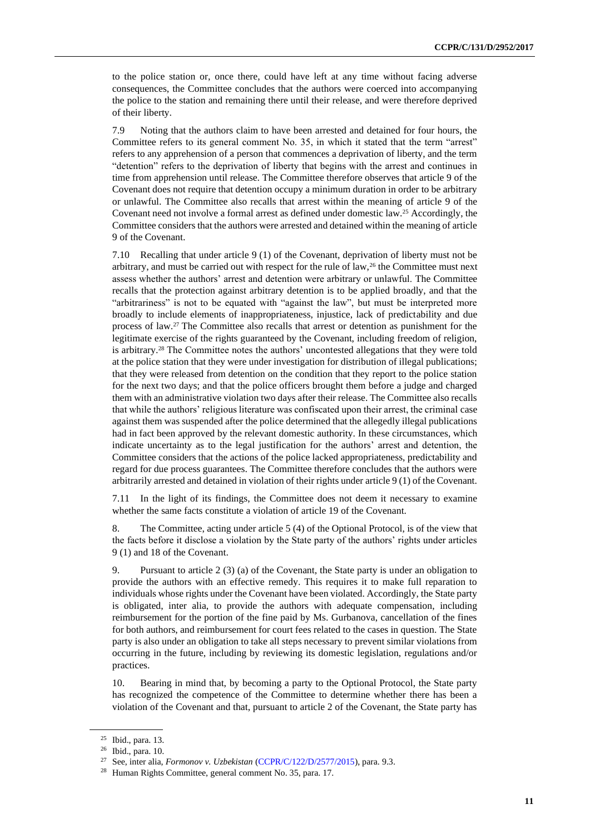to the police station or, once there, could have left at any time without facing adverse consequences, the Committee concludes that the authors were coerced into accompanying the police to the station and remaining there until their release, and were therefore deprived of their liberty.

7.9 Noting that the authors claim to have been arrested and detained for four hours, the Committee refers to its general comment No. 35, in which it stated that the term "arrest" refers to any apprehension of a person that commences a deprivation of liberty, and the term "detention" refers to the deprivation of liberty that begins with the arrest and continues in time from apprehension until release. The Committee therefore observes that article 9 of the Covenant does not require that detention occupy a minimum duration in order to be arbitrary or unlawful. The Committee also recalls that arrest within the meaning of article 9 of the Covenant need not involve a formal arrest as defined under domestic law.<sup>25</sup> Accordingly, the Committee considers that the authors were arrested and detained within the meaning of article 9 of the Covenant.

7.10 Recalling that under article 9 (1) of the Covenant, deprivation of liberty must not be arbitrary, and must be carried out with respect for the rule of law,<sup>26</sup> the Committee must next assess whether the authors' arrest and detention were arbitrary or unlawful. The Committee recalls that the protection against arbitrary detention is to be applied broadly, and that the "arbitrariness" is not to be equated with "against the law", but must be interpreted more broadly to include elements of inappropriateness, injustice, lack of predictability and due process of law.<sup>27</sup> The Committee also recalls that arrest or detention as punishment for the legitimate exercise of the rights guaranteed by the Covenant, including freedom of religion, is arbitrary.<sup>28</sup> The Committee notes the authors' uncontested allegations that they were told at the police station that they were under investigation for distribution of illegal publications; that they were released from detention on the condition that they report to the police station for the next two days; and that the police officers brought them before a judge and charged them with an administrative violation two days after their release. The Committee also recalls that while the authors' religious literature was confiscated upon their arrest, the criminal case against them was suspended after the police determined that the allegedly illegal publications had in fact been approved by the relevant domestic authority. In these circumstances, which indicate uncertainty as to the legal justification for the authors' arrest and detention, the Committee considers that the actions of the police lacked appropriateness, predictability and regard for due process guarantees. The Committee therefore concludes that the authors were arbitrarily arrested and detained in violation of their rights under article 9 (1) of the Covenant.

7.11 In the light of its findings, the Committee does not deem it necessary to examine whether the same facts constitute a violation of article 19 of the Covenant.

8. The Committee, acting under article 5 (4) of the Optional Protocol, is of the view that the facts before it disclose a violation by the State party of the authors' rights under articles 9 (1) and 18 of the Covenant.

9. Pursuant to article 2 (3) (a) of the Covenant, the State party is under an obligation to provide the authors with an effective remedy. This requires it to make full reparation to individuals whose rights under the Covenant have been violated. Accordingly, the State party is obligated, inter alia, to provide the authors with adequate compensation, including reimbursement for the portion of the fine paid by Ms. Gurbanova, cancellation of the fines for both authors, and reimbursement for court fees related to the cases in question. The State party is also under an obligation to take all steps necessary to prevent similar violations from occurring in the future, including by reviewing its domestic legislation, regulations and/or practices.

10. Bearing in mind that, by becoming a party to the Optional Protocol, the State party has recognized the competence of the Committee to determine whether there has been a violation of the Covenant and that, pursuant to article 2 of the Covenant, the State party has

<sup>25</sup> Ibid., para. 13.

<sup>26</sup> Ibid., para. 10.

<sup>27</sup> See, inter alia, *Formonov v. Uzbekistan* [\(CCPR/C/122/D/2577/2015\)](http://undocs.org/en/CCPR/C/122/D/2577/2015), para. 9.3.

<sup>28</sup> Human Rights Committee, general comment No. 35, para. 17.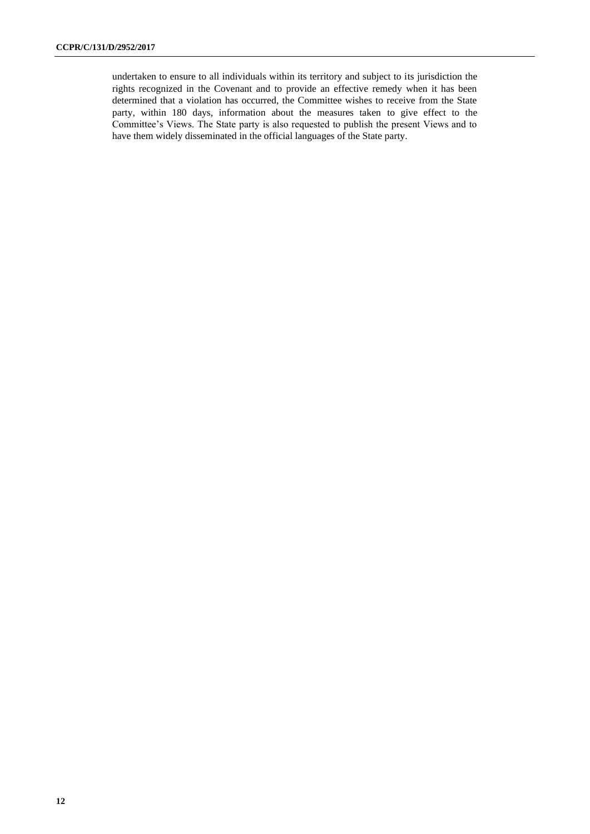undertaken to ensure to all individuals within its territory and subject to its jurisdiction the rights recognized in the Covenant and to provide an effective remedy when it has been determined that a violation has occurred, the Committee wishes to receive from the State party, within 180 days, information about the measures taken to give effect to the Committee's Views. The State party is also requested to publish the present Views and to have them widely disseminated in the official languages of the State party.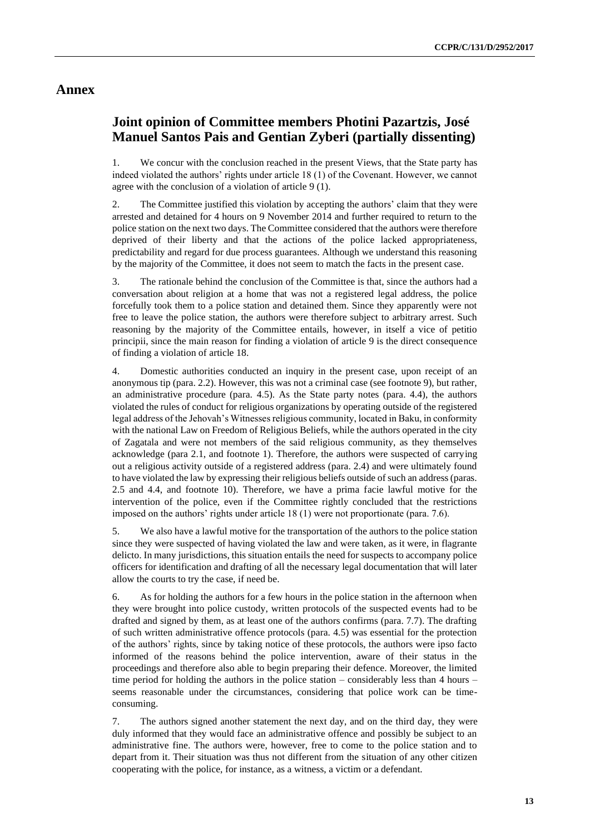### **Annex**

## **Joint opinion of Committee members Photini Pazartzis, José Manuel Santos Pais and Gentian Zyberi (partially dissenting)**

1. We concur with the conclusion reached in the present Views, that the State party has indeed violated the authors' rights under article 18 (1) of the Covenant. However, we cannot agree with the conclusion of a violation of article 9 (1).

2. The Committee justified this violation by accepting the authors' claim that they were arrested and detained for 4 hours on 9 November 2014 and further required to return to the police station on the next two days. The Committee considered that the authors were therefore deprived of their liberty and that the actions of the police lacked appropriateness, predictability and regard for due process guarantees. Although we understand this reasoning by the majority of the Committee, it does not seem to match the facts in the present case.

3. The rationale behind the conclusion of the Committee is that, since the authors had a conversation about religion at a home that was not a registered legal address, the police forcefully took them to a police station and detained them. Since they apparently were not free to leave the police station, the authors were therefore subject to arbitrary arrest. Such reasoning by the majority of the Committee entails, however, in itself a vice of petitio principii, since the main reason for finding a violation of article 9 is the direct consequence of finding a violation of article 18.

4. Domestic authorities conducted an inquiry in the present case, upon receipt of an anonymous tip (para. 2.2). However, this was not a criminal case (see footnote 9), but rather, an administrative procedure (para. 4.5). As the State party notes (para. 4.4), the authors violated the rules of conduct for religious organizations by operating outside of the registered legal address of the Jehovah's Witnesses religious community, located in Baku, in conformity with the national Law on Freedom of Religious Beliefs, while the authors operated in the city of Zagatala and were not members of the said religious community, as they themselves acknowledge (para 2.1, and footnote 1). Therefore, the authors were suspected of carrying out a religious activity outside of a registered address (para. 2.4) and were ultimately found to have violated the law by expressing their religious beliefs outside of such an address (paras. 2.5 and 4.4, and footnote 10). Therefore, we have a prima facie lawful motive for the intervention of the police, even if the Committee rightly concluded that the restrictions imposed on the authors' rights under article 18 (1) were not proportionate (para. 7.6).

5. We also have a lawful motive for the transportation of the authors to the police station since they were suspected of having violated the law and were taken, as it were, in flagrante delicto. In many jurisdictions, this situation entails the need for suspects to accompany police officers for identification and drafting of all the necessary legal documentation that will later allow the courts to try the case, if need be.

6. As for holding the authors for a few hours in the police station in the afternoon when they were brought into police custody, written protocols of the suspected events had to be drafted and signed by them, as at least one of the authors confirms (para. 7.7). The drafting of such written administrative offence protocols (para. 4.5) was essential for the protection of the authors' rights, since by taking notice of these protocols, the authors were ipso facto informed of the reasons behind the police intervention, aware of their status in the proceedings and therefore also able to begin preparing their defence. Moreover, the limited time period for holding the authors in the police station – considerably less than 4 hours – seems reasonable under the circumstances, considering that police work can be timeconsuming.

7. The authors signed another statement the next day, and on the third day, they were duly informed that they would face an administrative offence and possibly be subject to an administrative fine. The authors were, however, free to come to the police station and to depart from it. Their situation was thus not different from the situation of any other citizen cooperating with the police, for instance, as a witness, a victim or a defendant.